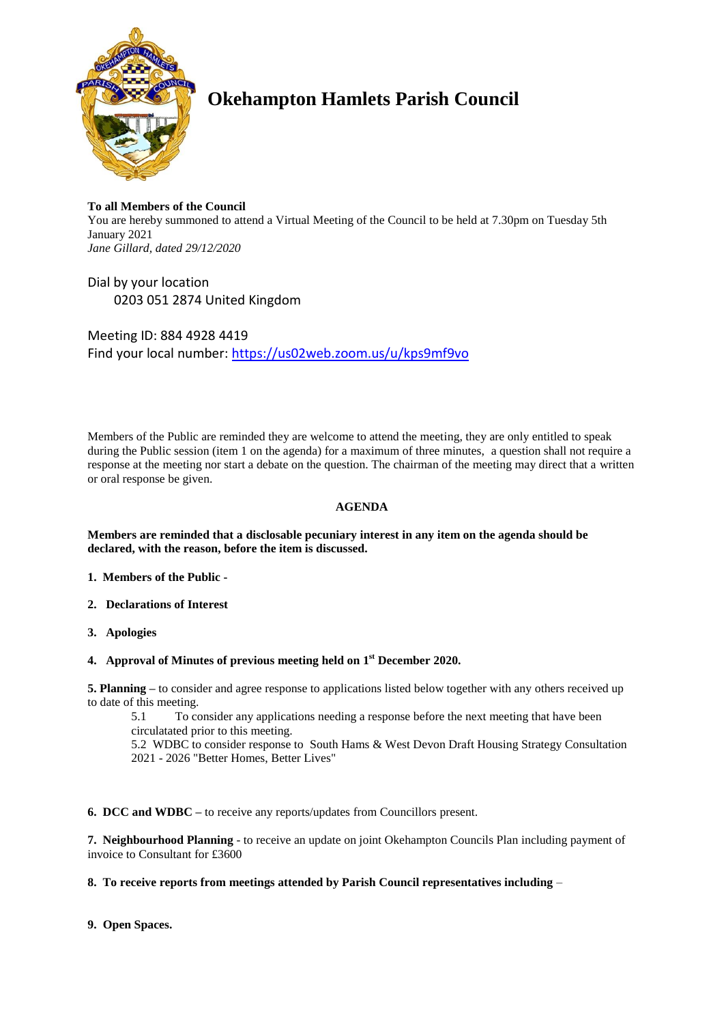

# **Okehampton Hamlets Parish Council**

# **To all Members of the Council**

You are hereby summoned to attend a Virtual Meeting of the Council to be held at 7.30pm on Tuesday 5th January 2021 *Jane Gillard, dated 29/12/2020*

Dial by your location 0203 051 2874 United Kingdom

Meeting ID: 884 4928 4419 Find your local number:<https://us02web.zoom.us/u/kps9mf9vo>

Members of the Public are reminded they are welcome to attend the meeting, they are only entitled to speak during the Public session (item 1 on the agenda) for a maximum of three minutes, a question shall not require a response at the meeting nor start a debate on the question. The chairman of the meeting may direct that a written or oral response be given.

# **AGENDA**

#### **Members are reminded that a disclosable pecuniary interest in any item on the agenda should be declared, with the reason, before the item is discussed.**

- **1. Members of the Public -**
- **2. Declarations of Interest**
- **3. Apologies**
- **4. Approval of Minutes of previous meeting held on 1 st December 2020.**

**5. Planning –** to consider and agree response to applications listed below together with any others received up to date of this meeting.

5.1 To consider any applications needing a response before the next meeting that have been circulatated prior to this meeting.

5.2 WDBC to consider response to South Hams & West Devon Draft Housing Strategy Consultation 2021 - 2026 "Better Homes, Better Lives"

**6. DCC and WDBC –** to receive any reports/updates from Councillors present.

**7. Neighbourhood Planning** - to receive an update on joint Okehampton Councils Plan including payment of invoice to Consultant for £3600

# **8. To receive reports from meetings attended by Parish Council representatives including** –

**9. Open Spaces.**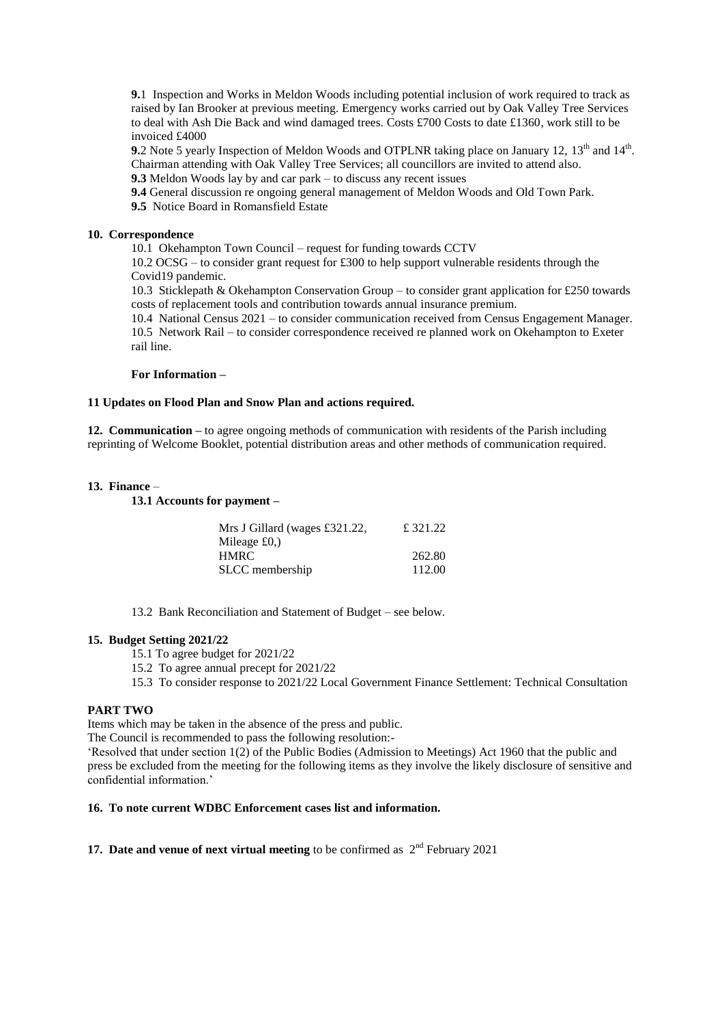**9.**1 Inspection and Works in Meldon Woods including potential inclusion of work required to track as raised by Ian Brooker at previous meeting. Emergency works carried out by Oak Valley Tree Services to deal with Ash Die Back and wind damaged trees. Costs £700 Costs to date £1360, work still to be invoiced £4000

**9.**2 Note 5 yearly Inspection of Meldon Woods and OTPLNR taking place on January 12, 13<sup>th</sup> and 14<sup>th</sup>. Chairman attending with Oak Valley Tree Services; all councillors are invited to attend also.

**9.3** Meldon Woods lay by and car park – to discuss any recent issues

**9.4** General discussion re ongoing general management of Meldon Woods and Old Town Park.

**9.5** Notice Board in Romansfield Estate

#### **10. Correspondence**

10.1 Okehampton Town Council – request for funding towards CCTV

10.2 OCSG – to consider grant request for £300 to help support vulnerable residents through the Covid19 pandemic.

10.3 Sticklepath & Okehampton Conservation Group – to consider grant application for £250 towards costs of replacement tools and contribution towards annual insurance premium.

10.4 National Census 2021 – to consider communication received from Census Engagement Manager. 10.5 Network Rail – to consider correspondence received re planned work on Okehampton to Exeter rail line.

**For Information –**

#### **11 Updates on Flood Plan and Snow Plan and actions required.**

**12. Communication –** to agree ongoing methods of communication with residents of the Parish including reprinting of Welcome Booklet, potential distribution areas and other methods of communication required.

#### **13. Finance** –

#### **13.1 Accounts for payment –**

| £ 321.22 |
|----------|
|          |
| 262.80   |
| 112.00   |
|          |

13.2 Bank Reconciliation and Statement of Budget – see below.

#### **15. Budget Setting 2021/22**

15.1 To agree budget for 2021/22

15.2 To agree annual precept for 2021/22

15.3 To consider response to 2021/22 Local Government Finance Settlement: Technical Consultation

## **PART TWO**

Items which may be taken in the absence of the press and public.

The Council is recommended to pass the following resolution:-

'Resolved that under section 1(2) of the Public Bodies (Admission to Meetings) Act 1960 that the public and press be excluded from the meeting for the following items as they involve the likely disclosure of sensitive and confidential information.'

#### **16. To note current WDBC Enforcement cases list and information.**

# **17. Date and venue of next virtual meeting to be confirmed as**  $2^{nd}$  **February 2021**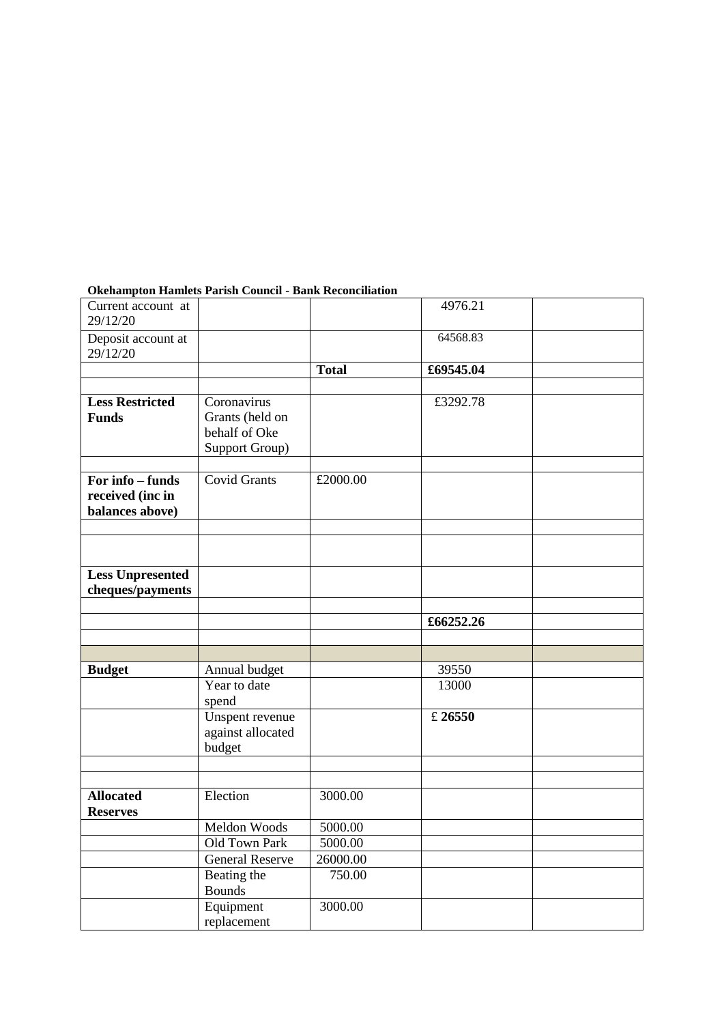# Current account at 29/12/20 4976.21 Deposit account at 29/12/20 64568.83 **Total £69545.04 Less Restricted Funds** Coronavirus Grants (held on behalf of Oke Support Group) £3292.78 **For info – funds received (inc in balances above)** Covid Grants £2000.00 **Less Unpresented cheques/payments £66252.26 Budget** Annual budget 39550 Year to date spend 13000 Unspent revenue against allocated budget £ **26550 Allocated Reserves** Election 3000.00 Meldon Woods 5000.00 Old Town Park 5000.00 General Reserve 26000.00 Beating the Bounds 750.00 Equipment replacement 3000.00

### **Okehampton Hamlets Parish Council - Bank Reconciliation**